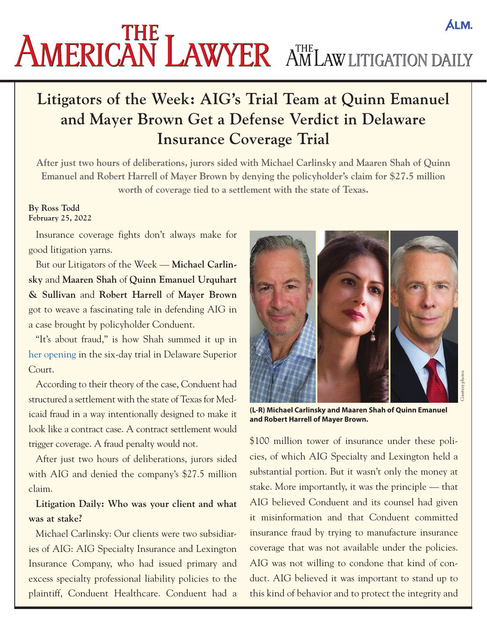# **ALM. AMERICAN LAWYER AMLAW LITIGATION DAILY**

## **Litigators of the Week: AIG's Trial Team at Quinn Emanuel and Mayer Brown Get a Defense Verdict in Delaware Insurance Coverage Trial**

**After just two hours of deliberations, jurors sided with Michael Carlinsky and Maaren Shah of Quinn Emanuel and Robert Harrell of Mayer Brown by denying the policyholder's claim for \$27.5 million worth of coverage tied to a settlement with the state of Texas.**

#### **By Ross Todd February 25, 2022**

Insurance coverage fights don't always make for good litigation yarns.

But our Litigators of the Week — **Michael Carlinsky** and **Maaren Shah** of **Quinn Emanuel Urquhart & Sullivan** and **Robert Harrell** of **Mayer Brown**  got to weave a fascinating tale in defending AIG in a case brought by policyholder Conduent.

"It's about fraud," is how Shah summed it up in [her opening](https://drive.google.com/file/d/1V_D7wC6keathdv2KG9lqwVTX2vYEL9dA/) in the six-day trial in Delaware Superior Court.

According to their theory of the case, Conduent had structured a settlement with the state of Texas for Medicaid fraud in a way intentionally designed to make it look like a contract case. A contract settlement would trigger coverage. A fraud penalty would not.

After just two hours of deliberations, jurors sided with AIG and denied the company's \$27.5 million claim.

#### **Litigation Daily: Who was your client and what was at stake?**

Michael Carlinsky: Our clients were two subsidiaries of AIG: AIG Specialty Insurance and Lexington Insurance Company, who had issued primary and excess specialty professional liability policies to the plaintiff, Conduent Healthcare. Conduent had a



**(L-R) Michael Carlinsky and Maaren Shah of Quinn Emanuel and Robert Harrell of Mayer Brown.**

\$100 million tower of insurance under these policies, of which AIG Specialty and Lexington held a substantial portion. But it wasn't only the money at stake. More importantly, it was the principle — that AIG believed Conduent and its counsel had given it misinformation and that Conduent committed insurance fraud by trying to manufacture insurance coverage that was not available under the policies. AIG was not willing to condone that kind of conduct. AIG believed it was important to stand up to this kind of behavior and to protect the integrity and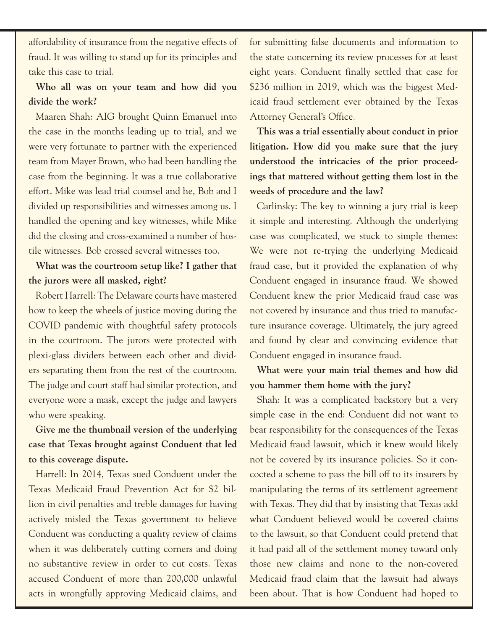affordability of insurance from the negative effects of fraud. It was willing to stand up for its principles and take this case to trial.

### **Who all was on your team and how did you divide the work?**

Maaren Shah: AIG brought Quinn Emanuel into the case in the months leading up to trial, and we were very fortunate to partner with the experienced team from Mayer Brown, who had been handling the case from the beginning. It was a true collaborative effort. Mike was lead trial counsel and he, Bob and I divided up responsibilities and witnesses among us. I handled the opening and key witnesses, while Mike did the closing and cross-examined a number of hostile witnesses. Bob crossed several witnesses too.

**What was the courtroom setup like? I gather that the jurors were all masked, right?**

Robert Harrell: The Delaware courts have mastered how to keep the wheels of justice moving during the COVID pandemic with thoughtful safety protocols in the courtroom. The jurors were protected with plexi-glass dividers between each other and dividers separating them from the rest of the courtroom. The judge and court staff had similar protection, and everyone wore a mask, except the judge and lawyers who were speaking.

**Give me the thumbnail version of the underlying case that Texas brought against Conduent that led to this coverage dispute.**

Harrell: In 2014, Texas sued Conduent under the Texas Medicaid Fraud Prevention Act for \$2 billion in civil penalties and treble damages for having actively misled the Texas government to believe Conduent was conducting a quality review of claims when it was deliberately cutting corners and doing no substantive review in order to cut costs. Texas accused Conduent of more than 200,000 unlawful acts in wrongfully approving Medicaid claims, and

for submitting false documents and information to the state concerning its review processes for at least eight years. Conduent finally settled that case for \$236 million in 2019, which was the biggest Medicaid fraud settlement ever obtained by the Texas Attorney General's Office.

**This was a trial essentially about conduct in prior litigation. How did you make sure that the jury understood the intricacies of the prior proceedings that mattered without getting them lost in the weeds of procedure and the law?**

Carlinsky: The key to winning a jury trial is keep it simple and interesting. Although the underlying case was complicated, we stuck to simple themes: We were not re-trying the underlying Medicaid fraud case, but it provided the explanation of why Conduent engaged in insurance fraud. We showed Conduent knew the prior Medicaid fraud case was not covered by insurance and thus tried to manufacture insurance coverage. Ultimately, the jury agreed and found by clear and convincing evidence that Conduent engaged in insurance fraud.

**What were your main trial themes and how did you hammer them home with the jury?**

Shah: It was a complicated backstory but a very simple case in the end: Conduent did not want to bear responsibility for the consequences of the Texas Medicaid fraud lawsuit, which it knew would likely not be covered by its insurance policies. So it concocted a scheme to pass the bill off to its insurers by manipulating the terms of its settlement agreement with Texas. They did that by insisting that Texas add what Conduent believed would be covered claims to the lawsuit, so that Conduent could pretend that it had paid all of the settlement money toward only those new claims and none to the non-covered Medicaid fraud claim that the lawsuit had always been about. That is how Conduent had hoped to